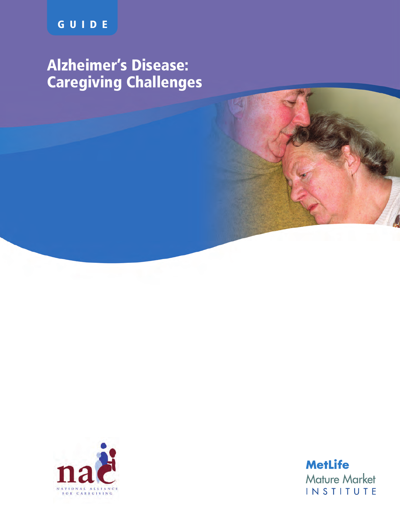# **Alzheimer's Disease: Caregiving Challenges**



**MetLife Mature Market INSTITUTE**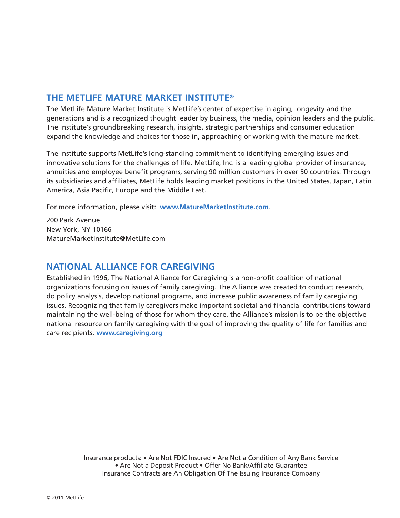# **THE METLIFE MATURE MARKET INSTITUTE®**

The MetLife Mature Market Institute is MetLife's center of expertise in aging, longevity and the generations and is a recognized thought leader by business, the media, opinion leaders and the public. The Institute's groundbreaking research, insights, strategic partnerships and consumer education expand the knowledge and choices for those in, approaching or working with the mature market.

The Institute supports MetLife's long-standing commitment to identifying emerging issues and innovative solutions for the challenges of life. MetLife, Inc. is a leading global provider of insurance, annuities and employee benefit programs, serving 90 million customers in over 50 countries. Through its subsidiaries and affiliates, MetLife holds leading market positions in the United States, Japan, Latin America, Asia Pacific, Europe and the Middle East.

For more information, please visit: **www.MatureMarketInstitute.com**.

200 Park Avenue New York, NY 10166 MatureMarketInstitute@MetLife.com

# **NATIONAL ALLIANCE FOR CAREGIVING**

Established in 1996, The National Alliance for Caregiving is a non-profit coalition of national organizations focusing on issues of family caregiving. The Alliance was created to conduct research, do policy analysis, develop national programs, and increase public awareness of family caregiving issues. Recognizing that family caregivers make important societal and financial contributions toward maintaining the well-being of those for whom they care, the Alliance's mission is to be the objective national resource on family caregiving with the goal of improving the quality of life for families and care recipients. **www.caregiving.org**

> Insurance products: • Are Not FDIC Insured • Are Not a Condition of Any Bank Service • Are Not a Deposit Product • Offer No Bank/Affiliate Guarantee Insurance Contracts are An Obligation Of The Issuing Insurance Company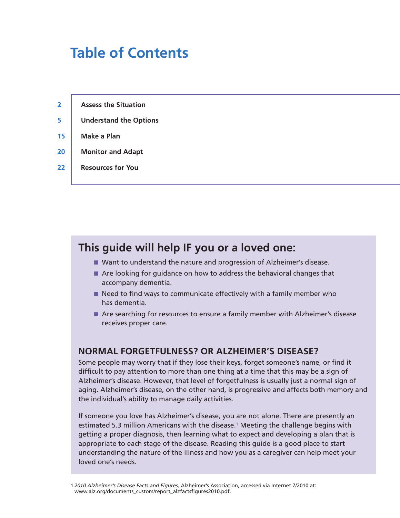# **Table of Contents**

- **5 Understand the Options**
- **15 Make a Plan**
- **20 Monitor and Adapt**
- **22 Resources for You**

# **This guide will help IF you or a loved one:**

- Want to understand the nature and progression of Alzheimer's disease.
- Are looking for guidance on how to address the behavioral changes that accompany dementia.
- Need to find ways to communicate effectively with a family member who has dementia.
- Are searching for resources to ensure a family member with Alzheimer's disease receives proper care.

## **NORMAL FORGETFULNESS? OR ALZHEIMER'S DISEASE?**

Some people may worry that if they lose their keys, forget someone's name, or find it difficult to pay attention to more than one thing at a time that this may be a sign of Alzheimer's disease. However, that level of forgetfulness is usually just a normal sign of aging. Alzheimer's disease, on the other hand, is progressive and affects both memory and the individual's ability to manage daily activities.

If someone you love has Alzheimer's disease, you are not alone. There are presently an estimated 5.3 million Americans with the disease.<sup>1</sup> Meeting the challenge begins with getting a proper diagnosis, then learning what to expect and developing a plan that is appropriate to each stage of the disease. Reading this guide is a good place to start understanding the nature of the illness and how you as a caregiver can help meet your loved one's needs.

<sup>1</sup> *2010 Alzheimer's Disease Facts and Figures,* Alzheimer's Association, accessed via Internet 7/2010 at: www.alz.org/documents\_custom/report\_alzfactsfigures2010.pdf.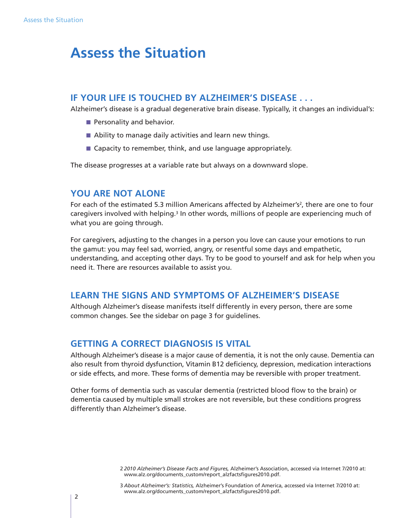# **Assess the Situation**

## **IF YOUR LIFE IS TOUCHED BY ALZHEIMER'S DISEASE . . .**

Alzheimer's disease is a gradual degenerative brain disease. Typically, it changes an individual's:

- Personality and behavior.
- Ability to manage daily activities and learn new things.
- Capacity to remember, think, and use language appropriately.

The disease progresses at a variable rate but always on a downward slope.

## **YOU ARE NOT ALONE**

For each of the estimated 5.3 million Americans affected by Alzheimer's<sup>2</sup>, there are one to four caregivers involved with helping.<sup>3</sup> In other words, millions of people are experiencing much of what you are going through.

For caregivers, adjusting to the changes in a person you love can cause your emotions to run the gamut: you may feel sad, worried, angry, or resentful some days and empathetic, understanding, and accepting other days. Try to be good to yourself and ask for help when you need it. There are resources available to assist you.

## **LEARN THE SIGNS AND SYMPTOMS OF ALZHEIMER'S DISEASE**

Although Alzheimer's disease manifests itself differently in every person, there are some common changes. See the sidebar on page 3 for guidelines.

## **GETTING A CORRECT DIAGNOSIS IS VITAL**

Although Alzheimer's disease is a major cause of dementia, it is not the only cause. Dementia can also result from thyroid dysfunction, Vitamin B12 deficiency, depression, medication interactions or side effects, and more. These forms of dementia may be reversible with proper treatment.

Other forms of dementia such as vascular dementia (restricted blood flow to the brain) or dementia caused by multiple small strokes are not reversible, but these conditions progress differently than Alzheimer's disease.

<sup>2</sup> *2010 Alzheimer's Disease Facts and Figures,* Alzheimer's Association, accessed via Internet 7/2010 at: www.alz.org/documents\_custom/report\_alzfactsfigures2010.pdf.

<sup>3</sup> *About Alzheimer's: Statistics,* Alzheimer's Foundation of America, accessed via Internet 7/2010 at: www.alz.org/documents\_custom/report\_alzfactsfigures2010.pdf.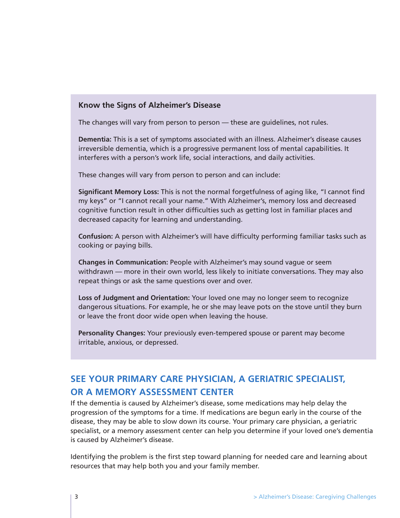## **Know the Signs of Alzheimer's Disease**

The changes will vary from person to person — these are guidelines, not rules.

**Dementia:** This is a set of symptoms associated with an illness. Alzheimer's disease causes irreversible dementia, which is a progressive permanent loss of mental capabilities. It interferes with a person's work life, social interactions, and daily activities.

These changes will vary from person to person and can include:

**Significant Memory Loss:** This is not the normal forgetfulness of aging like, "I cannot find my keys" or "I cannot recall your name." With Alzheimer's, memory loss and decreased cognitive function result in other difficulties such as getting lost in familiar places and decreased capacity for learning and understanding.

**Confusion:** A person with Alzheimer's will have difficulty performing familiar tasks such as cooking or paying bills.

**Changes in Communication:** People with Alzheimer's may sound vague or seem withdrawn — more in their own world, less likely to initiate conversations. They may also repeat things or ask the same questions over and over.

**Loss of Judgment and Orientation:** Your loved one may no longer seem to recognize dangerous situations. For example, he or she may leave pots on the stove until they burn or leave the front door wide open when leaving the house.

**Personality Changes:** Your previously even-tempered spouse or parent may become irritable, anxious, or depressed.

# **SEE YOUR PRIMARY CARE PHYSICIAN, A GERIATRIC SPECIALIST, OR A MEMORY ASSESSMENT CENTER**

If the dementia is caused by Alzheimer's disease, some medications may help delay the progression of the symptoms for a time. If medications are begun early in the course of the disease, they may be able to slow down its course. Your primary care physician, a geriatric specialist, or a memory assessment center can help you determine if your loved one's dementia is caused by Alzheimer's disease.

Identifying the problem is the first step toward planning for needed care and learning about resources that may help both you and your family member.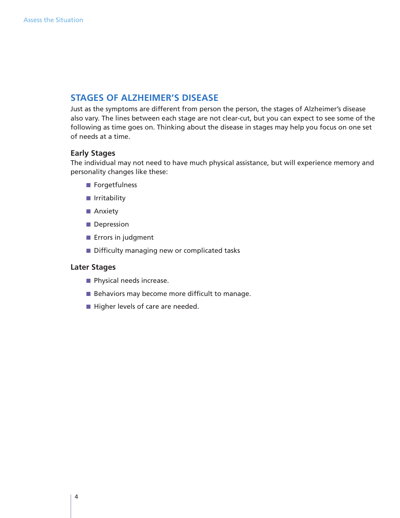# **STAGES OF ALZHEIMER'S DISEASE**

Just as the symptoms are different from person the person, the stages of Alzheimer's disease also vary. The lines between each stage are not clear-cut, but you can expect to see some of the following as time goes on. Thinking about the disease in stages may help you focus on one set of needs at a time.

## **Early Stages**

The individual may not need to have much physical assistance, but will experience memory and personality changes like these:

- Forgetfulness
- Irritability
- Anxiety
- Depression
- Errors in judgment
- Difficulty managing new or complicated tasks

## **Later Stages**

- Physical needs increase.
- Behaviors may become more difficult to manage.
- Higher levels of care are needed.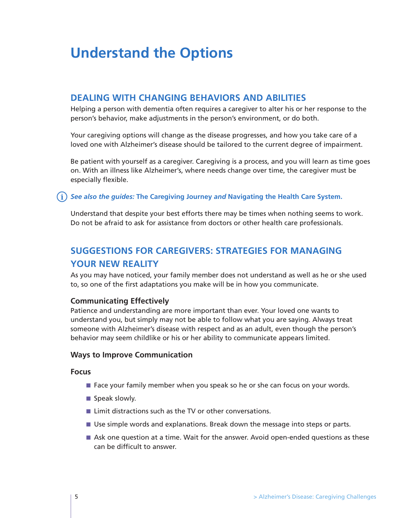# **Understand the Options**

## **DEALING WITH CHANGING BEHAVIORS AND ABILITIES**

Helping a person with dementia often requires a caregiver to alter his or her response to the person's behavior, make adjustments in the person's environment, or do both.

Your caregiving options will change as the disease progresses, and how you take care of a loved one with Alzheimer's disease should be tailored to the current degree of impairment.

Be patient with yourself as a caregiver. Caregiving is a process, and you will learn as time goes on. With an illness like Alzheimer's, where needs change over time, the caregiver must be especially flexible.

## *See also the guides:* **The Caregiving Journey** *and* **Navigating the Health Care System.**

Understand that despite your best efforts there may be times when nothing seems to work. Do not be afraid to ask for assistance from doctors or other health care professionals.

# **SUGGESTIONS FOR CAREGIVERS: STRATEGIES FOR MANAGING YOUR NEW REALITY**

As you may have noticed, your family member does not understand as well as he or she used to, so one of the first adaptations you make will be in how you communicate.

## **Communicating Effectively**

Patience and understanding are more important than ever. Your loved one wants to understand you, but simply may not be able to follow what you are saying. Always treat someone with Alzheimer's disease with respect and as an adult, even though the person's behavior may seem childlike or his or her ability to communicate appears limited.

## **Ways to Improve Communication**

## **Focus**

- Face your family member when you speak so he or she can focus on your words.
- Speak slowly.
- Limit distractions such as the TV or other conversations.
- Use simple words and explanations. Break down the message into steps or parts.
- Ask one question at a time. Wait for the answer. Avoid open-ended questions as these can be difficult to answer.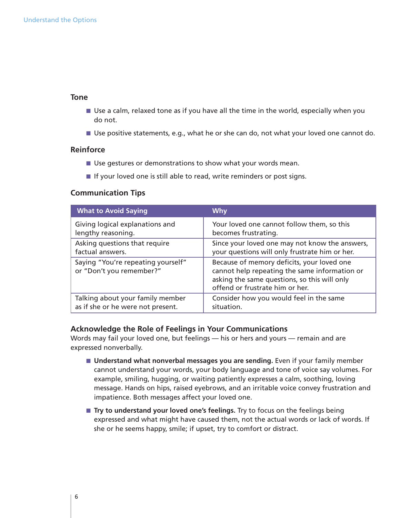## **Tone**

- Use a calm, relaxed tone as if you have all the time in the world, especially when you do not.
- Use positive statements, e.g., what he or she can do, not what your loved one cannot do.

#### **Reinforce**

- Use gestures or demonstrations to show what your words mean.
- If your loved one is still able to read, write reminders or post signs.

## **Communication Tips**

| <b>What to Avoid Saying</b>                                    | Why                                                                                                                                                                            |
|----------------------------------------------------------------|--------------------------------------------------------------------------------------------------------------------------------------------------------------------------------|
| Giving logical explanations and                                | Your loved one cannot follow them, so this                                                                                                                                     |
| lengthy reasoning.                                             | becomes frustrating.                                                                                                                                                           |
| Asking questions that require                                  | Since your loved one may not know the answers,                                                                                                                                 |
| factual answers.                                               | your questions will only frustrate him or her.                                                                                                                                 |
| Saying "You're repeating yourself"<br>or "Don't you remember?" | Because of memory deficits, your loved one<br>cannot help repeating the same information or<br>asking the same questions, so this will only<br>offend or frustrate him or her. |
| Talking about your family member                               | Consider how you would feel in the same                                                                                                                                        |
| as if she or he were not present.                              | situation.                                                                                                                                                                     |

## **Acknowledge the Role of Feelings in Your Communications**

Words may fail your loved one, but feelings — his or hers and yours — remain and are expressed nonverbally.

- **Understand what nonverbal messages you are sending.** Even if your family member cannot understand your words, your body language and tone of voice say volumes. For example, smiling, hugging, or waiting patiently expresses a calm, soothing, loving message. Hands on hips, raised eyebrows, and an irritable voice convey frustration and impatience. Both messages affect your loved one.
- **Try to understand your loved one's feelings.** Try to focus on the feelings being expressed and what might have caused them, not the actual words or lack of words. If she or he seems happy, smile; if upset, try to comfort or distract.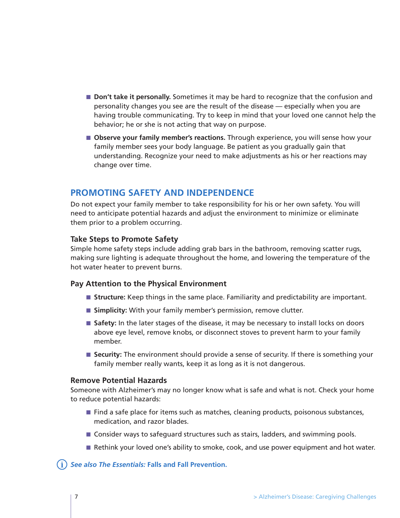- **Don't take it personally.** Sometimes it may be hard to recognize that the confusion and personality changes you see are the result of the disease — especially when you are having trouble communicating. Try to keep in mind that your loved one cannot help the behavior; he or she is not acting that way on purpose.
- **Observe your family member's reactions.** Through experience, you will sense how your family member sees your body language. Be patient as you gradually gain that understanding. Recognize your need to make adjustments as his or her reactions may change over time.

## **PROMOTING SAFETY AND INDEPENDENCE**

Do not expect your family member to take responsibility for his or her own safety. You will need to anticipate potential hazards and adjust the environment to minimize or eliminate them prior to a problem occurring.

## **Take Steps to Promote Safety**

Simple home safety steps include adding grab bars in the bathroom, removing scatter rugs, making sure lighting is adequate throughout the home, and lowering the temperature of the hot water heater to prevent burns.

## **Pay Attention to the Physical Environment**

- **Structure:** Keep things in the same place. Familiarity and predictability are important.
- **Simplicity:** With your family member's permission, remove clutter.
- Safety: In the later stages of the disease, it may be necessary to install locks on doors above eye level, remove knobs, or disconnect stoves to prevent harm to your family member.
- **Security:** The environment should provide a sense of security. If there is something your family member really wants, keep it as long as it is not dangerous.

## **Remove Potential Hazards**

Someone with Alzheimer's may no longer know what is safe and what is not. Check your home to reduce potential hazards:

- Find a safe place for items such as matches, cleaning products, poisonous substances, medication, and razor blades.
- Consider ways to safeguard structures such as stairs, ladders, and swimming pools.
- Rethink your loved one's ability to smoke, cook, and use power equipment and hot water.

## *See also The Essentials:* **Falls and Fall Prevention.**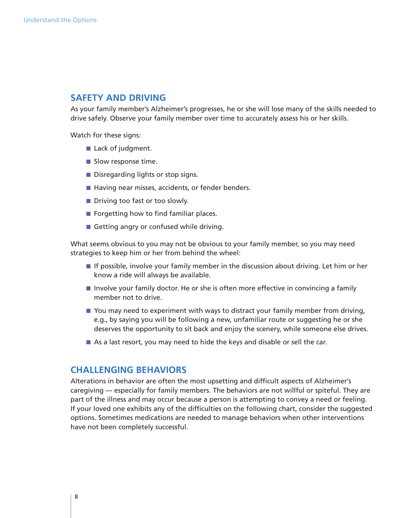## **SAFETY AND DRIVING**

As your family member's Alzheimer's progresses, he or she will lose many of the skills needed to drive safely. Observe your family member over time to accurately assess his or her skills.

Watch for these signs:

- Lack of judgment.
- Slow response time.
- Disregarding lights or stop signs.
- Having near misses, accidents, or fender benders.
- Driving too fast or too slowly.
- Forgetting how to find familiar places.
- Getting angry or confused while driving.

What seems obvious to you may not be obvious to your family member, so you may need strategies to keep him or her from behind the wheel:

- If possible, involve your family member in the discussion about driving. Let him or her know a ride will always be available.
- Involve your family doctor. He or she is often more effective in convincing a family member not to drive.
- You may need to experiment with ways to distract your family member from driving, e.g., by saying you will be following a new, unfamiliar route or suggesting he or she deserves the opportunity to sit back and enjoy the scenery, while someone else drives.
- As a last resort, you may need to hide the keys and disable or sell the car.

## **CHALLENGING BEHAVIORS**

Alterations in behavior are often the most upsetting and difficult aspects of Alzheimer's caregiving — especially for family members. The behaviors are not willful or spiteful. They are part of the illness and may occur because a person is attempting to convey a need or feeling. If your loved one exhibits any of the difficulties on the following chart, consider the suggested options. Sometimes medications are needed to manage behaviors when other interventions have not been completely successful.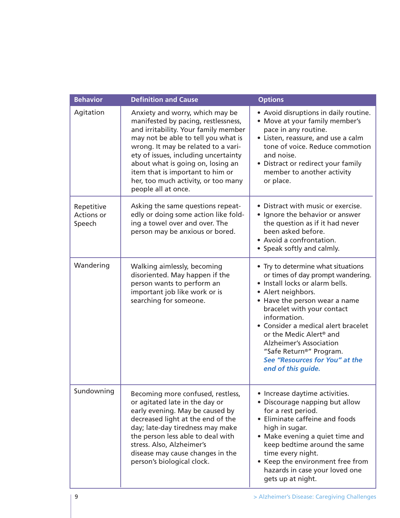| <b>Behavior</b>                           | <b>Definition and Cause</b>                                                                                                                                                                                                                                                                                                                                                 | <b>Options</b>                                                                                                                                                                                                                                                                                                                                                                                                                  |
|-------------------------------------------|-----------------------------------------------------------------------------------------------------------------------------------------------------------------------------------------------------------------------------------------------------------------------------------------------------------------------------------------------------------------------------|---------------------------------------------------------------------------------------------------------------------------------------------------------------------------------------------------------------------------------------------------------------------------------------------------------------------------------------------------------------------------------------------------------------------------------|
| Agitation                                 | Anxiety and worry, which may be<br>manifested by pacing, restlessness,<br>and irritability. Your family member<br>may not be able to tell you what is<br>wrong. It may be related to a vari-<br>ety of issues, including uncertainty<br>about what is going on, losing an<br>item that is important to him or<br>her, too much activity, or too many<br>people all at once. | • Avoid disruptions in daily routine.<br>• Move at your family member's<br>pace in any routine.<br>• Listen, reassure, and use a calm<br>tone of voice. Reduce commotion<br>and noise.<br>• Distract or redirect your family<br>member to another activity<br>or place.                                                                                                                                                         |
| Repetitive<br><b>Actions or</b><br>Speech | Asking the same questions repeat-<br>edly or doing some action like fold-<br>ing a towel over and over. The<br>person may be anxious or bored.                                                                                                                                                                                                                              | • Distract with music or exercise.<br>• Ignore the behavior or answer<br>the question as if it had never<br>been asked before.<br>• Avoid a confrontation.<br>• Speak softly and calmly.                                                                                                                                                                                                                                        |
| Wandering                                 | Walking aimlessly, becoming<br>disoriented. May happen if the<br>person wants to perform an<br>important job like work or is<br>searching for someone.                                                                                                                                                                                                                      | • Try to determine what situations<br>or times of day prompt wandering.<br>· Install locks or alarm bells.<br>• Alert neighbors.<br>• Have the person wear a name<br>bracelet with your contact<br>information.<br>• Consider a medical alert bracelet<br>or the Medic Alert <sup>®</sup> and<br><b>Alzheimer's Association</b><br>"Safe Return <sup>®</sup> " Program.<br>See "Resources for You" at the<br>end of this guide. |
| Sundowning                                | Becoming more confused, restless,<br>or agitated late in the day or<br>early evening. May be caused by<br>decreased light at the end of the<br>day; late-day tiredness may make<br>the person less able to deal with<br>stress. Also, Alzheimer's<br>disease may cause changes in the<br>person's biological clock.                                                         | • Increase daytime activities.<br>• Discourage napping but allow<br>for a rest period.<br>• Eliminate caffeine and foods<br>high in sugar.<br>• Make evening a quiet time and<br>keep bedtime around the same<br>time every night.<br>• Keep the environment free from<br>hazards in case your loved one<br>gets up at night.                                                                                                   |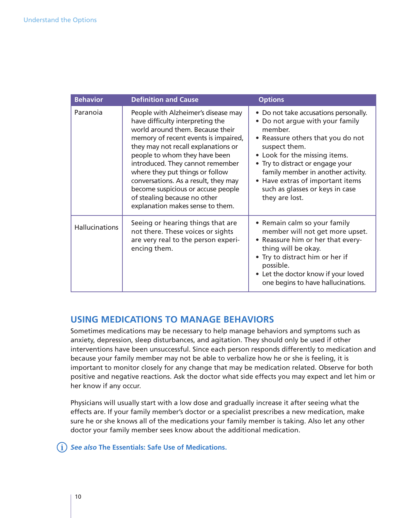| <b>Behavior</b>       | <b>Definition and Cause</b>                                                                                                                                                                                                                                                                                                                                                                                                                          | <b>Options</b>                                                                                                                                                                                                                                                                                                                                |
|-----------------------|------------------------------------------------------------------------------------------------------------------------------------------------------------------------------------------------------------------------------------------------------------------------------------------------------------------------------------------------------------------------------------------------------------------------------------------------------|-----------------------------------------------------------------------------------------------------------------------------------------------------------------------------------------------------------------------------------------------------------------------------------------------------------------------------------------------|
| Paranoia              | People with Alzheimer's disease may<br>have difficulty interpreting the<br>world around them. Because their<br>memory of recent events is impaired,<br>they may not recall explanations or<br>people to whom they have been<br>introduced. They cannot remember<br>where they put things or follow<br>conversations. As a result, they may<br>become suspicious or accuse people<br>of stealing because no other<br>explanation makes sense to them. | • Do not take accusations personally.<br>• Do not argue with your family<br>member.<br>• Reassure others that you do not<br>suspect them.<br>• Look for the missing items.<br>• Try to distract or engage your<br>family member in another activity.<br>• Have extras of important items<br>such as glasses or keys in case<br>they are lost. |
| <b>Hallucinations</b> | Seeing or hearing things that are<br>not there. These voices or sights<br>are very real to the person experi-<br>encing them.                                                                                                                                                                                                                                                                                                                        | • Remain calm so your family<br>member will not get more upset.<br>• Reassure him or her that every-<br>thing will be okay.<br>• Try to distract him or her if<br>possible.<br>• Let the doctor know if your loved<br>one begins to have hallucinations.                                                                                      |

# **USING MEDICATIONS TO MANAGE BEHAVIORS**

Sometimes medications may be necessary to help manage behaviors and symptoms such as anxiety, depression, sleep disturbances, and agitation. They should only be used if other interventions have been unsuccessful. Since each person responds differently to medication and because your family member may not be able to verbalize how he or she is feeling, it is important to monitor closely for any change that may be medication related. Observe for both positive and negative reactions. Ask the doctor what side effects you may expect and let him or her know if any occur.

Physicians will usually start with a low dose and gradually increase it after seeing what the effects are. If your family member's doctor or a specialist prescribes a new medication, make sure he or she knows all of the medications your family member is taking. Also let any other doctor your family member sees know about the additional medication.

*See also* **The Essentials: Safe Use of Medications.**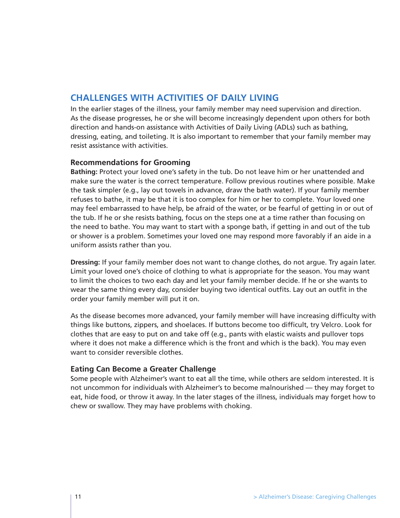## **CHALLENGES WITH ACTIVITIES OF DAILY LIVING**

In the earlier stages of the illness, your family member may need supervision and direction. As the disease progresses, he or she will become increasingly dependent upon others for both direction and hands-on assistance with Activities of Daily Living (ADLs) such as bathing, dressing, eating, and toileting. It is also important to remember that your family member may resist assistance with activities.

## **Recommendations for Grooming**

**Bathing:** Protect your loved one's safety in the tub. Do not leave him or her unattended and make sure the water is the correct temperature. Follow previous routines where possible. Make the task simpler (e.g., lay out towels in advance, draw the bath water). If your family member refuses to bathe, it may be that it is too complex for him or her to complete. Your loved one may feel embarrassed to have help, be afraid of the water, or be fearful of getting in or out of the tub. If he or she resists bathing, focus on the steps one at a time rather than focusing on the need to bathe. You may want to start with a sponge bath, if getting in and out of the tub or shower is a problem. Sometimes your loved one may respond more favorably if an aide in a uniform assists rather than you.

**Dressing:** If your family member does not want to change clothes, do not argue. Try again later. Limit your loved one's choice of clothing to what is appropriate for the season. You may want to limit the choices to two each day and let your family member decide. If he or she wants to wear the same thing every day, consider buying two identical outfits. Lay out an outfit in the order your family member will put it on.

As the disease becomes more advanced, your family member will have increasing difficulty with things like buttons, zippers, and shoelaces. If buttons become too difficult, try Velcro. Look for clothes that are easy to put on and take off (e.g., pants with elastic waists and pullover tops where it does not make a difference which is the front and which is the back). You may even want to consider reversible clothes.

## **Eating Can Become a Greater Challenge**

Some people with Alzheimer's want to eat all the time, while others are seldom interested. It is not uncommon for individuals with Alzheimer's to become malnourished — they may forget to eat, hide food, or throw it away. In the later stages of the illness, individuals may forget how to chew or swallow. They may have problems with choking.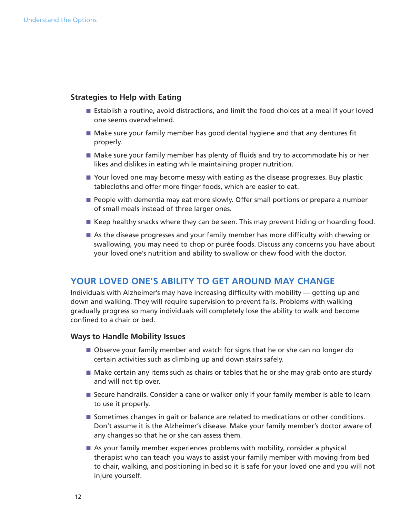## **Strategies to Help with Eating**

- Establish a routine, avoid distractions, and limit the food choices at a meal if your loved one seems overwhelmed.
- Make sure your family member has good dental hygiene and that any dentures fit properly.
- Make sure your family member has plenty of fluids and try to accommodate his or her likes and dislikes in eating while maintaining proper nutrition.
- Your loved one may become messy with eating as the disease progresses. Buy plastic tablecloths and offer more finger foods, which are easier to eat.
- People with dementia may eat more slowly. Offer small portions or prepare a number of small meals instead of three larger ones.
- Keep healthy snacks where they can be seen. This may prevent hiding or hoarding food.
- As the disease progresses and your family member has more difficulty with chewing or swallowing, you may need to chop or purée foods. Discuss any concerns you have about your loved one's nutrition and ability to swallow or chew food with the doctor.

## **YOUR LOVED ONE'S ABILITY TO GET AROUND MAY CHANGE**

Individuals with Alzheimer's may have increasing difficulty with mobility — getting up and down and walking. They will require supervision to prevent falls. Problems with walking gradually progress so many individuals will completely lose the ability to walk and become confined to a chair or bed.

#### **Ways to Handle Mobility Issues**

- Observe your family member and watch for signs that he or she can no longer do certain activities such as climbing up and down stairs safely.
- Make certain any items such as chairs or tables that he or she may grab onto are sturdy and will not tip over.
- Secure handrails. Consider a cane or walker only if your family member is able to learn to use it properly.
- Sometimes changes in gait or balance are related to medications or other conditions. Don't assume it is the Alzheimer's disease. Make your family member's doctor aware of any changes so that he or she can assess them.
- As your family member experiences problems with mobility, consider a physical therapist who can teach you ways to assist your family member with moving from bed to chair, walking, and positioning in bed so it is safe for your loved one and you will not injure yourself.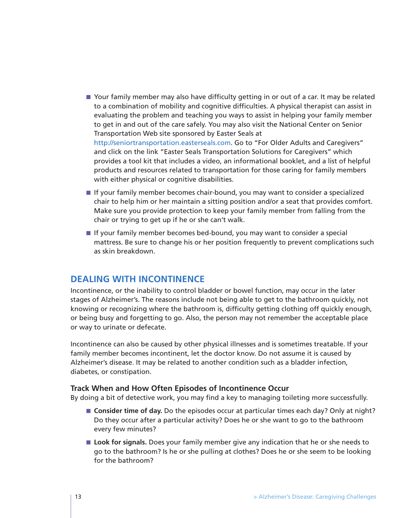- Your family member may also have difficulty getting in or out of a car. It may be related to a combination of mobility and cognitive difficulties. A physical therapist can assist in evaluating the problem and teaching you ways to assist in helping your family member to get in and out of the care safely. You may also visit the National Center on Senior Transportation Web site sponsored by Easter Seals at http://seniortransportation.easterseals.com. Go to "For Older Adults and Caregivers" and click on the link "Easter Seals Transportation Solutions for Caregivers" which provides a tool kit that includes a video, an informational booklet, and a list of helpful products and resources related to transportation for those caring for family members with either physical or cognitive disabilities.
- If your family member becomes chair-bound, you may want to consider a specialized chair to help him or her maintain a sitting position and/or a seat that provides comfort. Make sure you provide protection to keep your family member from falling from the chair or trying to get up if he or she can't walk.
- If your family member becomes bed-bound, you may want to consider a special mattress. Be sure to change his or her position frequently to prevent complications such as skin breakdown.

## **DEALING WITH INCONTINENCE**

Incontinence, or the inability to control bladder or bowel function, may occur in the later stages of Alzheimer's. The reasons include not being able to get to the bathroom quickly, not knowing or recognizing where the bathroom is, difficulty getting clothing off quickly enough, or being busy and forgetting to go. Also, the person may not remember the acceptable place or way to urinate or defecate.

Incontinence can also be caused by other physical illnesses and is sometimes treatable. If your family member becomes incontinent, let the doctor know. Do not assume it is caused by Alzheimer's disease. It may be related to another condition such as a bladder infection, diabetes, or constipation.

## **Track When and How Often Episodes of Incontinence Occur**

By doing a bit of detective work, you may find a key to managing toileting more successfully.

- **Consider time of day.** Do the episodes occur at particular times each day? Only at night? Do they occur after a particular activity? Does he or she want to go to the bathroom every few minutes?
- Look for signals. Does your family member give any indication that he or she needs to go to the bathroom? Is he or she pulling at clothes? Does he or she seem to be looking for the bathroom?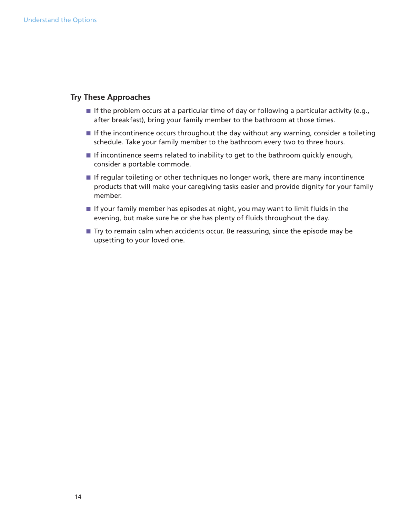## **Try These Approaches**

- If the problem occurs at a particular time of day or following a particular activity (e.g., after breakfast), bring your family member to the bathroom at those times.
- If the incontinence occurs throughout the day without any warning, consider a toileting schedule. Take your family member to the bathroom every two to three hours.
- If incontinence seems related to inability to get to the bathroom quickly enough, consider a portable commode.
- If regular toileting or other techniques no longer work, there are many incontinence products that will make your caregiving tasks easier and provide dignity for your family member.
- If your family member has episodes at night, you may want to limit fluids in the evening, but make sure he or she has plenty of fluids throughout the day.
- Try to remain calm when accidents occur. Be reassuring, since the episode may be upsetting to your loved one.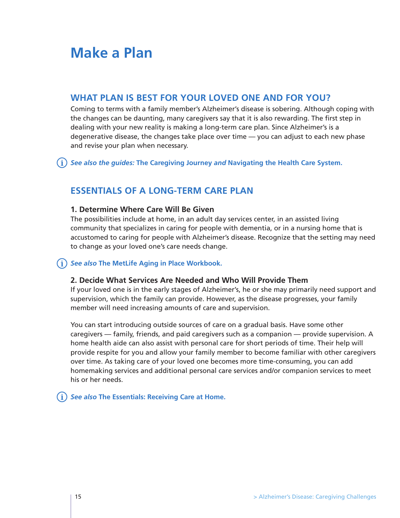# **Make a Plan**

# **WHAT PLAN IS BEST FOR YOUR LOVED ONE AND FOR YOU?**

Coming to terms with a family member's Alzheimer's disease is sobering. Although coping with the changes can be daunting, many caregivers say that it is also rewarding. The first step in dealing with your new reality is making a long-term care plan. Since Alzheimer's is a degenerative disease, the changes take place over time — you can adjust to each new phase and revise your plan when necessary.

*See also the guides:* **The Caregiving Journey** *and* **Navigating the Health Care System.**

# **ESSENTIALS OF A LONG-TERM CARE PLAN**

## **1. Determine Where Care Will Be Given**

The possibilities include at home, in an adult day services center, in an assisted living community that specializes in caring for people with dementia, or in a nursing home that is accustomed to caring for people with Alzheimer's disease. Recognize that the setting may need to change as your loved one's care needs change.

## *See also* **The MetLife Aging in Place Workbook.**

## **2. Decide What Services Are Needed and Who Will Provide Them**

If your loved one is in the early stages of Alzheimer's, he or she may primarily need support and supervision, which the family can provide. However, as the disease progresses, your family member will need increasing amounts of care and supervision.

You can start introducing outside sources of care on a gradual basis. Have some other caregivers — family, friends, and paid caregivers such as a companion — provide supervision. A home health aide can also assist with personal care for short periods of time. Their help will provide respite for you and allow your family member to become familiar with other caregivers over time. As taking care of your loved one becomes more time-consuming, you can add homemaking services and additional personal care services and/or companion services to meet his or her needs.

*See also* **The Essentials: Receiving Care at Home.**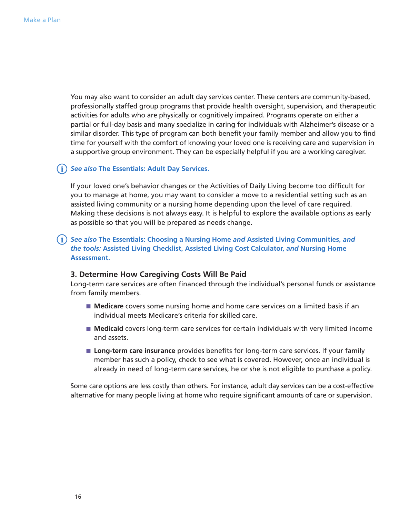You may also want to consider an adult day services center. These centers are community-based, professionally staffed group programs that provide health oversight, supervision, and therapeutic activities for adults who are physically or cognitively impaired. Programs operate on either a partial or full-day basis and many specialize in caring for individuals with Alzheimer's disease or a similar disorder. This type of program can both benefit your family member and allow you to find time for yourself with the comfort of knowing your loved one is receiving care and supervision in a supportive group environment. They can be especially helpful if you are a working caregiver.

## *See also* **The Essentials: Adult Day Services.**

If your loved one's behavior changes or the Activities of Daily Living become too difficult for you to manage at home, you may want to consider a move to a residential setting such as an assisted living community or a nursing home depending upon the level of care required. Making these decisions is not always easy. It is helpful to explore the available options as early as possible so that you will be prepared as needs change.

## *See also* **The Essentials: Choosing a Nursing Home** *and* **Assisted Living Communities,** *and the tools:* **Assisted Living Checklist, Assisted Living Cost Calculator,** *and* **Nursing Home Assessment.**

#### **3. Determine How Caregiving Costs Will Be Paid**

Long-term care services are often financed through the individual's personal funds or assistance from family members.

- **Medicare** covers some nursing home and home care services on a limited basis if an individual meets Medicare's criteria for skilled care.
- **Medicaid** covers long-term care services for certain individuals with very limited income and assets.
- **Long-term care insurance** provides benefits for long-term care services. If your family member has such a policy, check to see what is covered. However, once an individual is already in need of long-term care services, he or she is not eligible to purchase a policy.

Some care options are less costly than others. For instance, adult day services can be a cost-effective alternative for many people living at home who require significant amounts of care or supervision.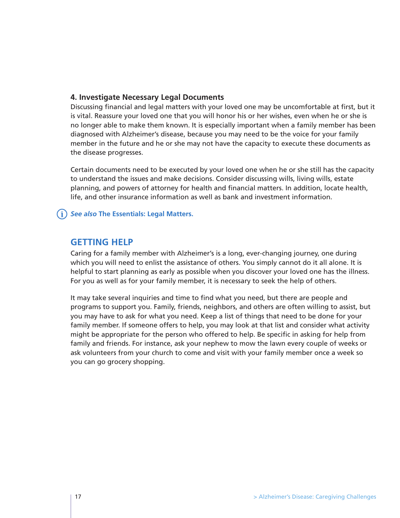## **4. Investigate Necessary Legal Documents**

Discussing financial and legal matters with your loved one may be uncomfortable at first, but it is vital. Reassure your loved one that you will honor his or her wishes, even when he or she is no longer able to make them known. It is especially important when a family member has been diagnosed with Alzheimer's disease, because you may need to be the voice for your family member in the future and he or she may not have the capacity to execute these documents as the disease progresses.

Certain documents need to be executed by your loved one when he or she still has the capacity to understand the issues and make decisions. Consider discussing wills, living wills, estate planning, and powers of attorney for health and financial matters. In addition, locate health, life, and other insurance information as well as bank and investment information.

## *See also* **The Essentials: Legal Matters.**

## **GETTING HELP**

Caring for a family member with Alzheimer's is a long, ever-changing journey, one during which you will need to enlist the assistance of others. You simply cannot do it all alone. It is helpful to start planning as early as possible when you discover your loved one has the illness. For you as well as for your family member, it is necessary to seek the help of others.

It may take several inquiries and time to find what you need, but there are people and programs to support you. Family, friends, neighbors, and others are often willing to assist, but you may have to ask for what you need. Keep a list of things that need to be done for your family member. If someone offers to help, you may look at that list and consider what activity might be appropriate for the person who offered to help. Be specific in asking for help from family and friends. For instance, ask your nephew to mow the lawn every couple of weeks or ask volunteers from your church to come and visit with your family member once a week so you can go grocery shopping.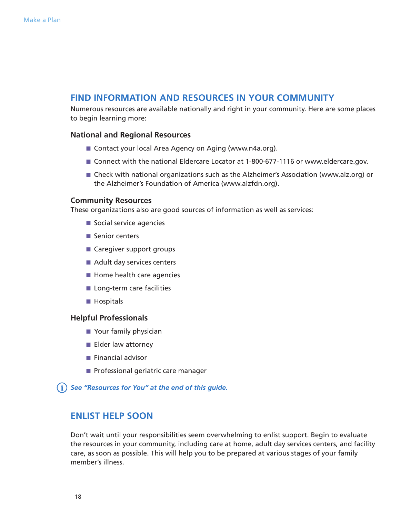## **FIND INFORMATION AND RESOURCES IN YOUR COMMUNITY**

Numerous resources are available nationally and right in your community. Here are some places to begin learning more:

## **National and Regional Resources**

- Contact your local Area Agency on Aging (www.n4a.org).
- Connect with the national Eldercare Locator at 1-800-677-1116 or www.eldercare.gov.
- Check with national organizations such as the Alzheimer's Association (www.alz.org) or the Alzheimer's Foundation of America (www.alzfdn.org).

## **Community Resources**

These organizations also are good sources of information as well as services:

- Social service agencies
- Senior centers
- Caregiver support groups
- Adult day services centers
- Home health care agencies
- Long-term care facilities
- Hospitals

## **Helpful Professionals**

- Your family physician
- Elder law attorney
- Financial advisor
- Professional geriatric care manager

*See "Resources for You" at the end of this guide.*

## **ENLIST HELP SOON**

Don't wait until your responsibilities seem overwhelming to enlist support. Begin to evaluate the resources in your community, including care at home, adult day services centers, and facility care, as soon as possible. This will help you to be prepared at various stages of your family member's illness.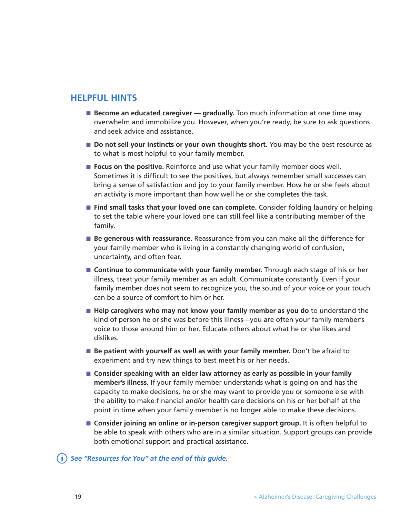## **HELPFUL HINTS**

- **Become an educated caregiver gradually.** Too much information at one time may overwhelm and immobilize you. However, when you're ready, be sure to ask questions and seek advice and assistance.
- **Do not sell your instincts or your own thoughts short.** You may be the best resource as to what is most helpful to your family member.
- **Focus on the positive.** Reinforce and use what your family member does well. Sometimes it is difficult to see the positives, but always remember small successes can bring a sense of satisfaction and joy to your family member. How he or she feels about an activity is more important than how well he or she completes the task.
- **Find small tasks that your loved one can complete.** Consider folding laundry or helping to set the table where your loved one can still feel like a contributing member of the family.
- **Be generous with reassurance.** Reassurance from you can make all the difference for your family member who is living in a constantly changing world of confusion, uncertainty, and often fear.
- **Continue to communicate with your family member.** Through each stage of his or her illness, treat your family member as an adult. Communicate constantly. Even if your family member does not seem to recognize you, the sound of your voice or your touch can be a source of comfort to him or her.
- **Help caregivers who may not know your family member as you do** to understand the kind of person he or she was before this illness—you are often your family member's voice to those around him or her. Educate others about what he or she likes and dislikes.
- **Be patient with yourself as well as with your family member.** Don't be afraid to experiment and try new things to best meet his or her needs.
- **Consider speaking with an elder law attorney as early as possible in your family member's illness.** If your family member understands what is going on and has the capacity to make decisions, he or she may want to provide you or someone else with the ability to make financial and/or health care decisions on his or her behalf at the point in time when your family member is no longer able to make these decisions.
- **Consider joining an online or in-person caregiver support group.** It is often helpful to be able to speak with others who are in a similar situation. Support groups can provide both emotional support and practical assistance.

## *See "Resources for You" at the end of this guide.*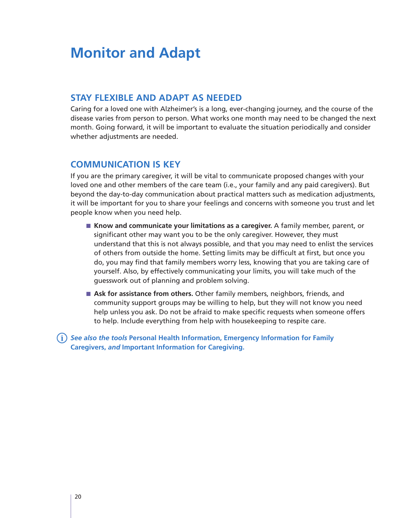# **Monitor and Adapt**

# **STAY FLEXIBLE AND ADAPT AS NEEDED**

Caring for a loved one with Alzheimer's is a long, ever-changing journey, and the course of the disease varies from person to person. What works one month may need to be changed the next month. Going forward, it will be important to evaluate the situation periodically and consider whether adjustments are needed.

# **COMMUNICATION IS KEY**

If you are the primary caregiver, it will be vital to communicate proposed changes with your loved one and other members of the care team (i.e., your family and any paid caregivers). But beyond the day-to-day communication about practical matters such as medication adjustments, it will be important for you to share your feelings and concerns with someone you trust and let people know when you need help.

- **Know and communicate your limitations as a caregiver.** A family member, parent, or significant other may want you to be the only caregiver. However, they must understand that this is not always possible, and that you may need to enlist the services of others from outside the home. Setting limits may be difficult at first, but once you do, you may find that family members worry less, knowing that you are taking care of yourself. Also, by effectively communicating your limits, you will take much of the guesswork out of planning and problem solving.
- Ask for assistance from others. Other family members, neighbors, friends, and community support groups may be willing to help, but they will not know you need help unless you ask. Do not be afraid to make specific requests when someone offers to help. Include everything from help with housekeeping to respite care.

*See also the tools* **Personal Health Information, Emergency Information for Family Caregivers,** *and* **Important Information for Caregiving.**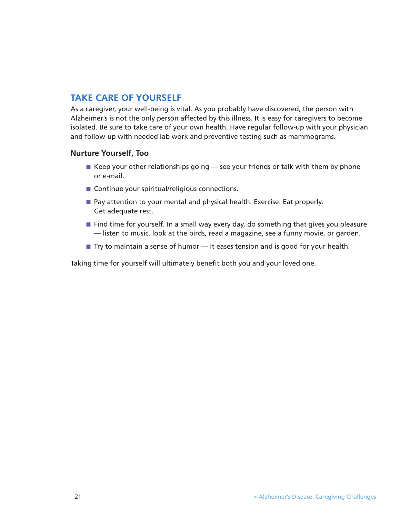# **TAKE CARE OF YOURSELF**

As a caregiver, your well-being is vital. As you probably have discovered, the person with Alzheimer's is not the only person affected by this illness. It is easy for caregivers to become isolated. Be sure to take care of your own health. Have regular follow-up with your physician and follow-up with needed lab work and preventive testing such as mammograms.

## **Nurture Yourself, Too**

- $\blacksquare$  Keep your other relationships going see your friends or talk with them by phone or e-mail.
- Continue your spiritual/religious connections.
- Pay attention to your mental and physical health. Exercise. Eat properly. Get adequate rest.
- Find time for yourself. In a small way every day, do something that gives you pleasure — listen to music, look at the birds, read a magazine, see a funny movie, or garden.
- Try to maintain a sense of humor it eases tension and is good for your health.

Taking time for yourself will ultimately benefit both you and your loved one.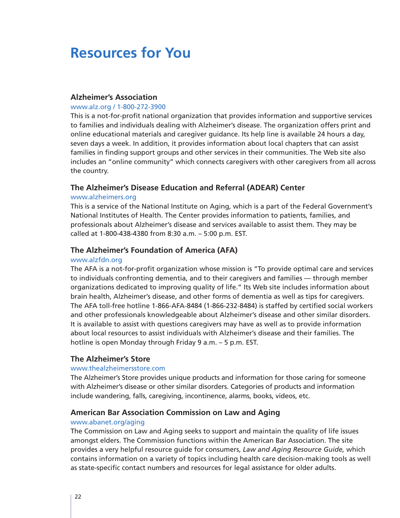# **Resources for You**

## **Alzheimer's Association**

#### www.alz.org / 1-800-272-3900

This is a not-for-profit national organization that provides information and supportive services to families and individuals dealing with Alzheimer's disease. The organization offers print and online educational materials and caregiver guidance. Its help line is available 24 hours a day, seven days a week. In addition, it provides information about local chapters that can assist families in finding support groups and other services in their communities. The Web site also includes an "online community" which connects caregivers with other caregivers from all across the country.

## **The Alzheimer's Disease Education and Referral (ADEAR) Center**

#### www.alzheimers.org

This is a service of the National Institute on Aging, which is a part of the Federal Government's National Institutes of Health. The Center provides information to patients, families, and professionals about Alzheimer's disease and services available to assist them. They may be called at 1-800-438-4380 from 8:30 a.m. – 5:00 p.m. EST.

## **The Alzheimer's Foundation of America (AFA)**

#### www.alzfdn.org

The AFA is a not-for-profit organization whose mission is "To provide optimal care and services to individuals confronting dementia, and to their caregivers and families — through member organizations dedicated to improving quality of life." Its Web site includes information about brain health, Alzheimer's disease, and other forms of dementia as well as tips for caregivers. The AFA toll-free hotline 1-866-AFA-8484 (1-866-232-8484) is staffed by certified social workers and other professionals knowledgeable about Alzheimer's disease and other similar disorders. It is available to assist with questions caregivers may have as well as to provide information about local resources to assist individuals with Alzheimer's disease and their families. The hotline is open Monday through Friday 9 a.m. – 5 p.m. EST.

## **The Alzheimer's Store**

## www.thealzheimersstore.com

The Alzheimer's Store provides unique products and information for those caring for someone with Alzheimer's disease or other similar disorders. Categories of products and information include wandering, falls, caregiving, incontinence, alarms, books, videos, etc.

## **American Bar Association Commission on Law and Aging**

## www.abanet.org/aging

The Commission on Law and Aging seeks to support and maintain the quality of life issues amongst elders. The Commission functions within the American Bar Association. The site provides a very helpful resource guide for consumers, *Law and Aging Resource Guide,* which contains information on a variety of topics including health care decision-making tools as well as state-specific contact numbers and resources for legal assistance for older adults.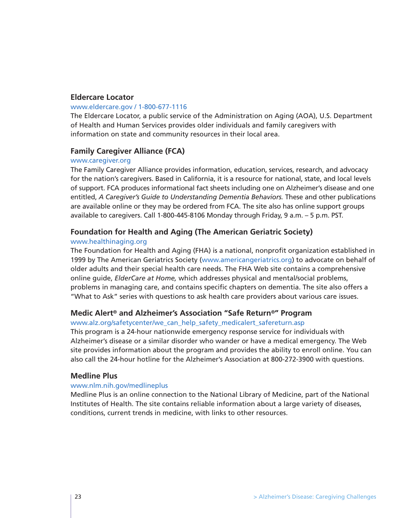## **Eldercare Locator**

#### www.eldercare.gov / 1-800-677-1116

The Eldercare Locator, a public service of the Administration on Aging (AOA), U.S. Department of Health and Human Services provides older individuals and family caregivers with information on state and community resources in their local area.

## **Family Caregiver Alliance (FCA)**

#### www.caregiver.org

The Family Caregiver Alliance provides information, education, services, research, and advocacy for the nation's caregivers. Based in California, it is a resource for national, state, and local levels of support. FCA produces informational fact sheets including one on Alzheimer's disease and one entitled, *A Caregiver's Guide to Understanding Dementia Behaviors.* These and other publications are available online or they may be ordered from FCA. The site also has online support groups available to caregivers. Call 1-800-445-8106 Monday through Friday, 9 a.m. – 5 p.m. PST.

## **Foundation for Health and Aging (The American Geriatric Society)**

#### www.healthinaging.org

The Foundation for Health and Aging (FHA) is a national, nonprofit organization established in 1999 by The American Geriatrics Society (www.americangeriatrics.org) to advocate on behalf of older adults and their special health care needs. The FHA Web site contains a comprehensive online guide, *ElderCare at Home,* which addresses physical and mental/social problems, problems in managing care, and contains specific chapters on dementia. The site also offers a "What to Ask" series with questions to ask health care providers about various care issues.

## **Medic Alert® and Alzheimer's Association "Safe Return®" Program**

#### www.alz.org/safetycenter/we\_can\_help\_safety\_medicalert\_safereturn.asp

This program is a 24-hour nationwide emergency response service for individuals with Alzheimer's disease or a similar disorder who wander or have a medical emergency. The Web site provides information about the program and provides the ability to enroll online. You can also call the 24-hour hotline for the Alzheimer's Association at 800-272-3900 with questions.

## **Medline Plus**

#### www.nlm.nih.gov/medlineplus

Medline Plus is an online connection to the National Library of Medicine, part of the National Institutes of Health. The site contains reliable information about a large variety of diseases, conditions, current trends in medicine, with links to other resources.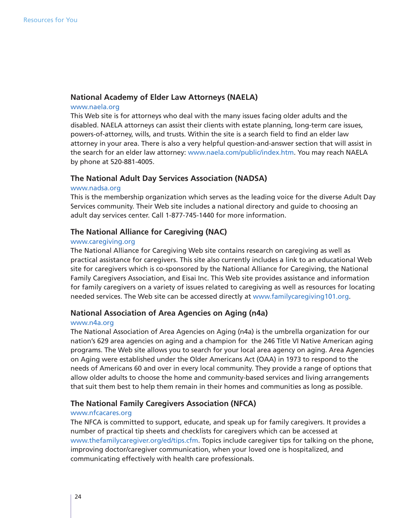## **National Academy of Elder Law Attorneys (NAELA)**

## www.naela.org

This Web site is for attorneys who deal with the many issues facing older adults and the disabled. NAELA attorneys can assist their clients with estate planning, long-term care issues, powers-of-attorney, wills, and trusts. Within the site is a search field to find an elder law attorney in your area. There is also a very helpful question-and-answer section that will assist in the search for an elder law attorney: www.naela.com/public/index.htm. You may reach NAELA by phone at 520-881-4005.

## **The National Adult Day Services Association (NADSA)**

#### www.nadsa.org

This is the membership organization which serves as the leading voice for the diverse Adult Day Services community. Their Web site includes a national directory and guide to choosing an adult day services center. Call 1-877-745-1440 for more information.

## **The National Alliance for Caregiving (NAC)**

#### www.caregiving.org

The National Alliance for Caregiving Web site contains research on caregiving as well as practical assistance for caregivers. This site also currently includes a link to an educational Web site for caregivers which is co-sponsored by the National Alliance for Caregiving, the National Family Caregivers Association, and Eisai Inc. This Web site provides assistance and information for family caregivers on a variety of issues related to caregiving as well as resources for locating needed services. The Web site can be accessed directly at www.familycaregiving101.org.

## **National Association of Area Agencies on Aging (n4a)**

#### www.n4a.org

The National Association of Area Agencies on Aging (n4a) is the umbrella organization for our nation's 629 area agencies on aging and a champion for the 246 Title VI Native American aging programs. The Web site allows you to search for your local area agency on aging. Area Agencies on Aging were established under the Older Americans Act (OAA) in 1973 to respond to the needs of Americans 60 and over in every local community. They provide a range of options that allow older adults to choose the home and community-based services and living arrangements that suit them best to help them remain in their homes and communities as long as possible.

## **The National Family Caregivers Association (NFCA)**

#### www.nfcacares.org

The NFCA is committed to support, educate, and speak up for family caregivers. It provides a number of practical tip sheets and checklists for caregivers which can be accessed at www.thefamilycaregiver.org/ed/tips.cfm. Topics include caregiver tips for talking on the phone, improving doctor/caregiver communication, when your loved one is hospitalized, and communicating effectively with health care professionals.